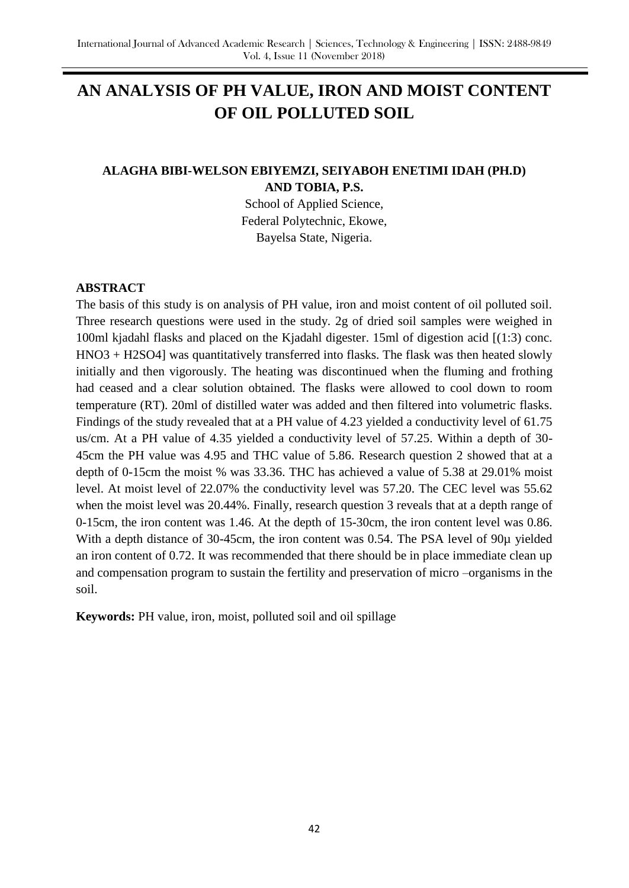# **AN ANALYSIS OF PH VALUE, IRON AND MOIST CONTENT OF OIL POLLUTED SOIL**

# **ALAGHA BIBI-WELSON EBIYEMZI, SEIYABOH ENETIMI IDAH (PH.D) AND TOBIA, P.S.**

School of Applied Science, Federal Polytechnic, Ekowe, Bayelsa State, Nigeria.

#### **ABSTRACT**

The basis of this study is on analysis of PH value, iron and moist content of oil polluted soil. Three research questions were used in the study. 2g of dried soil samples were weighed in 100ml kjadahl flasks and placed on the Kjadahl digester. 15ml of digestion acid [(1:3) conc. HNO3 + H2SO4] was quantitatively transferred into flasks. The flask was then heated slowly initially and then vigorously. The heating was discontinued when the fluming and frothing had ceased and a clear solution obtained. The flasks were allowed to cool down to room temperature (RT). 20ml of distilled water was added and then filtered into volumetric flasks. Findings of the study revealed that at a PH value of 4.23 yielded a conductivity level of 61.75 us/cm. At a PH value of 4.35 yielded a conductivity level of 57.25. Within a depth of 30- 45cm the PH value was 4.95 and THC value of 5.86. Research question 2 showed that at a depth of 0-15cm the moist % was 33.36. THC has achieved a value of 5.38 at 29.01% moist level. At moist level of 22.07% the conductivity level was 57.20. The CEC level was 55.62 when the moist level was 20.44%. Finally, research question 3 reveals that at a depth range of 0-15cm, the iron content was 1.46. At the depth of 15-30cm, the iron content level was 0.86. With a depth distance of 30-45cm, the iron content was 0.54. The PSA level of 90µ yielded an iron content of 0.72. It was recommended that there should be in place immediate clean up and compensation program to sustain the fertility and preservation of micro –organisms in the soil.

**Keywords:** PH value, iron, moist, polluted soil and oil spillage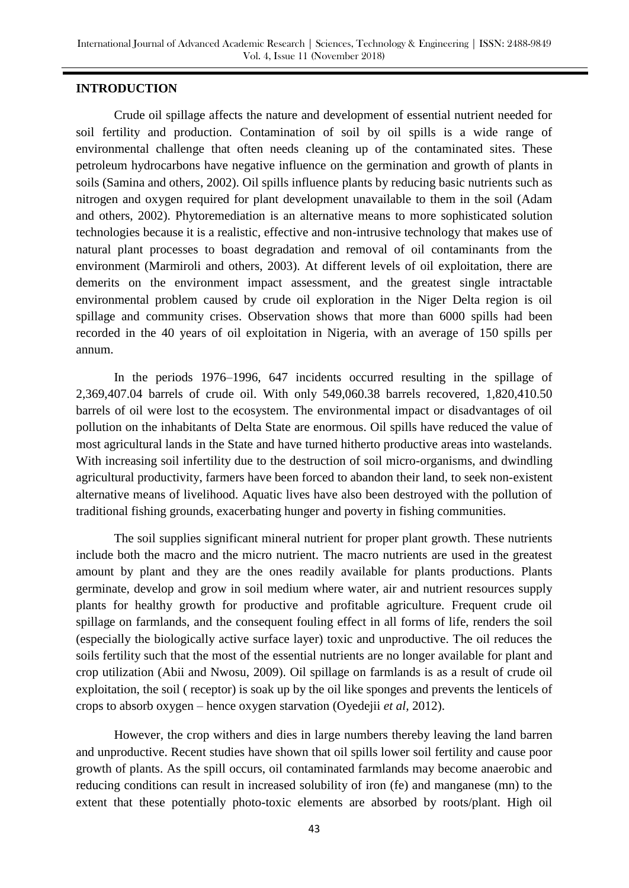#### **INTRODUCTION**

Crude oil spillage affects the nature and development of essential nutrient needed for soil fertility and production. Contamination of soil by oil spills is a wide range of environmental challenge that often needs cleaning up of the contaminated sites. These petroleum hydrocarbons have negative influence on the germination and growth of plants in soils (Samina and others, 2002). Oil spills influence plants by reducing basic nutrients such as nitrogen and oxygen required for plant development unavailable to them in the soil (Adam and others, 2002). Phytoremediation is an alternative means to more sophisticated solution technologies because it is a realistic, effective and non-intrusive technology that makes use of natural plant processes to boast degradation and removal of oil contaminants from the environment (Marmiroli and others, 2003). At different levels of oil exploitation, there are demerits on the environment impact assessment, and the greatest single intractable environmental problem caused by crude oil exploration in the Niger Delta region is oil spillage and community crises. Observation shows that more than 6000 spills had been recorded in the 40 years of oil exploitation in Nigeria, with an average of 150 spills per annum.

In the periods 1976–1996, 647 incidents occurred resulting in the spillage of 2,369,407.04 barrels of crude oil. With only 549,060.38 barrels recovered, 1,820,410.50 barrels of oil were lost to the ecosystem. The environmental impact or disadvantages of oil pollution on the inhabitants of Delta State are enormous. Oil spills have reduced the value of most agricultural lands in the State and have turned hitherto productive areas into wastelands. With increasing soil infertility due to the destruction of soil micro-organisms, and dwindling agricultural productivity, farmers have been forced to abandon their land, to seek non-existent alternative means of livelihood. Aquatic lives have also been destroyed with the pollution of traditional fishing grounds, exacerbating hunger and poverty in fishing communities.

The soil supplies significant mineral nutrient for proper plant growth. These nutrients include both the macro and the micro nutrient. The macro nutrients are used in the greatest amount by plant and they are the ones readily available for plants productions. Plants germinate, develop and grow in soil medium where water, air and nutrient resources supply plants for healthy growth for productive and profitable agriculture. Frequent crude oil spillage on farmlands, and the consequent fouling effect in all forms of life, renders the soil (especially the biologically active surface layer) toxic and unproductive. The oil reduces the soils fertility such that the most of the essential nutrients are no longer available for plant and crop utilization (Abii and Nwosu, 2009). Oil spillage on farmlands is as a result of crude oil exploitation, the soil ( receptor) is soak up by the oil like sponges and prevents the lenticels of crops to absorb oxygen – hence oxygen starvation (Oyedejii *et al,* 2012).

However, the crop withers and dies in large numbers thereby leaving the land barren and unproductive. Recent studies have shown that oil spills lower soil fertility and cause poor growth of plants. As the spill occurs, oil contaminated farmlands may become anaerobic and reducing conditions can result in increased solubility of iron (fe) and manganese (mn) to the extent that these potentially photo-toxic elements are absorbed by roots/plant. High oil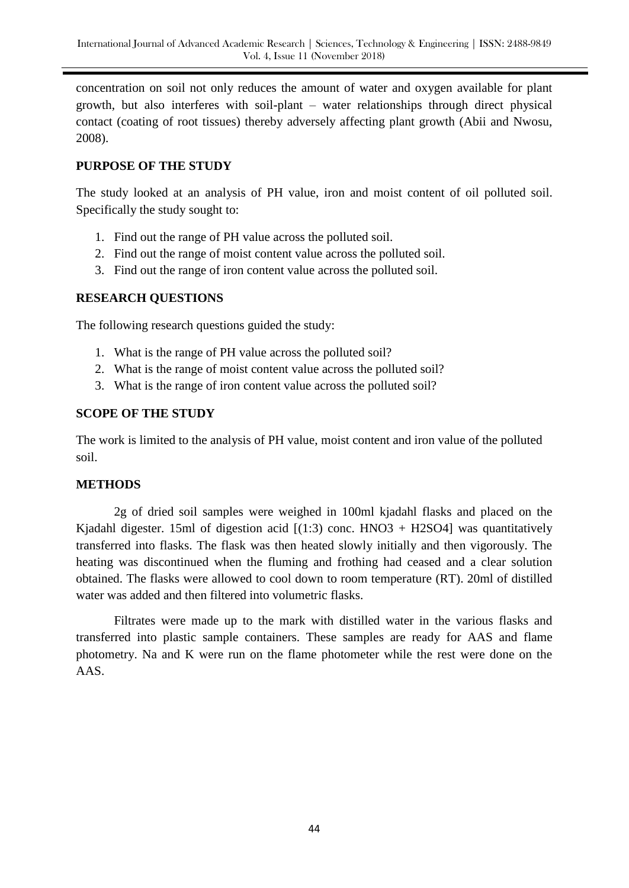concentration on soil not only reduces the amount of water and oxygen available for plant growth, but also interferes with soil-plant – water relationships through direct physical contact (coating of root tissues) thereby adversely affecting plant growth (Abii and Nwosu, 2008).

#### **PURPOSE OF THE STUDY**

The study looked at an analysis of PH value, iron and moist content of oil polluted soil. Specifically the study sought to:

- 1. Find out the range of PH value across the polluted soil.
- 2. Find out the range of moist content value across the polluted soil.
- 3. Find out the range of iron content value across the polluted soil.

## **RESEARCH QUESTIONS**

The following research questions guided the study:

- 1. What is the range of PH value across the polluted soil?
- 2. What is the range of moist content value across the polluted soil?
- 3. What is the range of iron content value across the polluted soil?

#### **SCOPE OF THE STUDY**

The work is limited to the analysis of PH value, moist content and iron value of the polluted soil.

#### **METHODS**

2g of dried soil samples were weighed in 100ml kjadahl flasks and placed on the Kjadahl digester. 15ml of digestion acid  $[(1:3)$  conc. HNO3 + H2SO4] was quantitatively transferred into flasks. The flask was then heated slowly initially and then vigorously. The heating was discontinued when the fluming and frothing had ceased and a clear solution obtained. The flasks were allowed to cool down to room temperature (RT). 20ml of distilled water was added and then filtered into volumetric flasks.

Filtrates were made up to the mark with distilled water in the various flasks and transferred into plastic sample containers. These samples are ready for AAS and flame photometry. Na and K were run on the flame photometer while the rest were done on the AAS.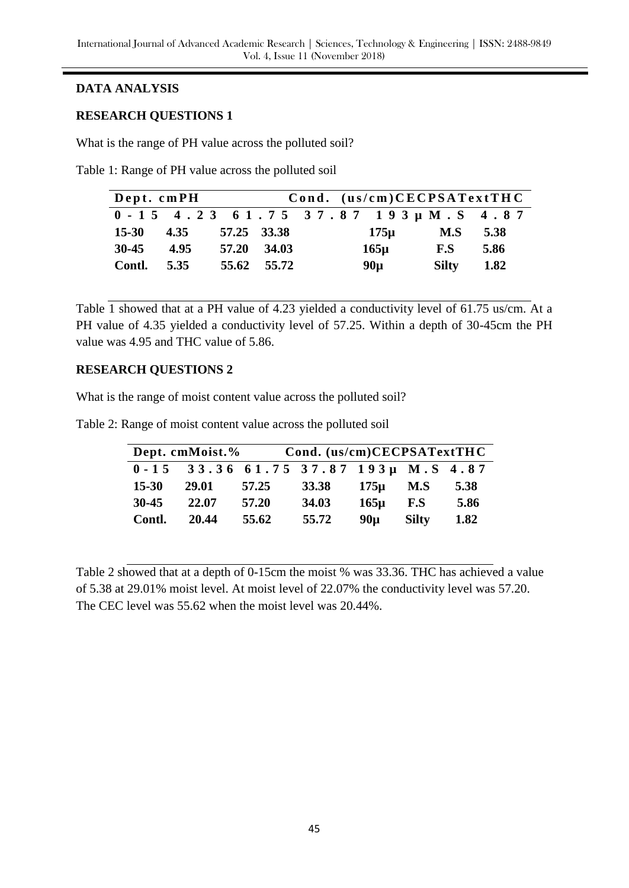# **DATA ANALYSIS**

## **RESEARCH QUESTIONS 1**

What is the range of PH value across the polluted soil?

Table 1: Range of PH value across the polluted soil

| Dept. cmPH         |      |             | Cond. (us/cm)CECPSATextTHC |  |                                         |                         |      |
|--------------------|------|-------------|----------------------------|--|-----------------------------------------|-------------------------|------|
|                    |      |             |                            |  | $0 - 15$ 4.23 61.75 37.87 193µ M.S 4.87 |                         |      |
| $15-30$ $4.35$     |      | 57.25 33.38 |                            |  | 175µ                                    | $\mathbf{M.S}$          | 5.38 |
| $30-45$            | 4.95 |             | 57.20 34.03                |  | $165\mu$                                | $\mathbf{F}.\mathbf{S}$ | 5.86 |
| <b>Contl.</b> 5.35 |      |             | 55.62 55.72                |  | $90\mu$                                 | Silty                   | 1.82 |

Table  $\overline{1}$  showed that at a PH value of 4.23 yielded a conductivity level of 61.75 us/cm. At a PH value of 4.35 yielded a conductivity level of 57.25. Within a depth of 30-45cm the PH value was 4.95 and THC value of 5.86.

## **RESEARCH QUESTIONS 2**

What is the range of moist content value across the polluted soil?

Table 2: Range of moist content value across the polluted soil

| Dept. cmMoist.% |                                        |       | Cond. (us/cm)CECPSATextTHC |                 |              |      |  |  |
|-----------------|----------------------------------------|-------|----------------------------|-----------------|--------------|------|--|--|
|                 | $0-15$ 33.36 61.75 37.87 193µ M.S 4.87 |       |                            |                 |              |      |  |  |
| $15 - 30$       | 29.01                                  | 57.25 | <b>33.38</b>               | $175\mu$        | M.S          | 5.38 |  |  |
| $30 - 45$       | 22.07                                  | 57.20 | 34.03                      | $165\mu$        | F.S          | 5.86 |  |  |
| Contl.          | 20.44                                  | 55.62 | 55.72                      | 90 <sub>µ</sub> | <b>Silty</b> | 1.82 |  |  |

Table 2 showed that at a depth of 0-15cm the moist % was 33.36. THC has achieved a value of 5.38 at 29.01% moist level. At moist level of 22.07% the conductivity level was 57.20. The CEC level was 55.62 when the moist level was 20.44%.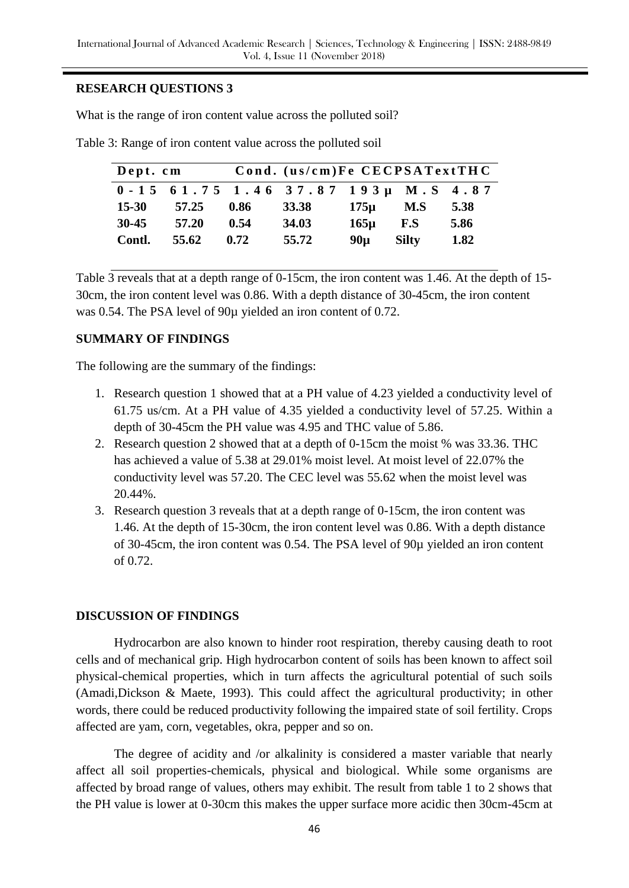## **RESEARCH QUESTIONS 3**

What is the range of iron content value across the polluted soil?

| Dept. cm  |       | Cond. (us/cm)Fe CECPSATextTHC |                                         |          |              |      |  |
|-----------|-------|-------------------------------|-----------------------------------------|----------|--------------|------|--|
|           |       |                               | $0 - 15$ 61.75 1.46 37.87 193µ M.S 4.87 |          |              |      |  |
| $15 - 30$ | 57.25 | 0.86                          | <b>33.38</b>                            | $175\mu$ | M.S          | 5.38 |  |
| $30 - 45$ | 57.20 | 0.54                          | 34.03                                   | $165\mu$ | F.S          | 5.86 |  |
| Contl.    | 55.62 | 0.72                          | 55.72                                   | $90\mu$  | <b>Silty</b> | 1.82 |  |

Table 3: Range of iron content value across the polluted soil

Table 3 reveals that at a depth range of 0-15cm, the iron content was 1.46. At the depth of 15- 30cm, the iron content level was 0.86. With a depth distance of 30-45cm, the iron content was 0.54. The PSA level of 90µ yielded an iron content of 0.72.

# **SUMMARY OF FINDINGS**

The following are the summary of the findings:

- 1. Research question 1 showed that at a PH value of 4.23 yielded a conductivity level of 61.75 us/cm. At a PH value of 4.35 yielded a conductivity level of 57.25. Within a depth of 30-45cm the PH value was 4.95 and THC value of 5.86.
- 2. Research question 2 showed that at a depth of 0-15cm the moist % was 33.36. THC has achieved a value of 5.38 at 29.01% moist level. At moist level of 22.07% the conductivity level was 57.20. The CEC level was 55.62 when the moist level was 20.44%.
- 3. Research question 3 reveals that at a depth range of 0-15cm, the iron content was 1.46. At the depth of 15-30cm, the iron content level was 0.86. With a depth distance of 30-45cm, the iron content was 0.54. The PSA level of 90µ yielded an iron content of 0.72.

# **DISCUSSION OF FINDINGS**

Hydrocarbon are also known to hinder root respiration, thereby causing death to root cells and of mechanical grip. High hydrocarbon content of soils has been known to affect soil physical-chemical properties, which in turn affects the agricultural potential of such soils (Amadi,Dickson & Maete, 1993). This could affect the agricultural productivity; in other words, there could be reduced productivity following the impaired state of soil fertility. Crops affected are yam, corn, vegetables, okra, pepper and so on.

The degree of acidity and /or alkalinity is considered a master variable that nearly affect all soil properties-chemicals, physical and biological. While some organisms are affected by broad range of values, others may exhibit. The result from table 1 to 2 shows that the PH value is lower at 0-30cm this makes the upper surface more acidic then 30cm-45cm at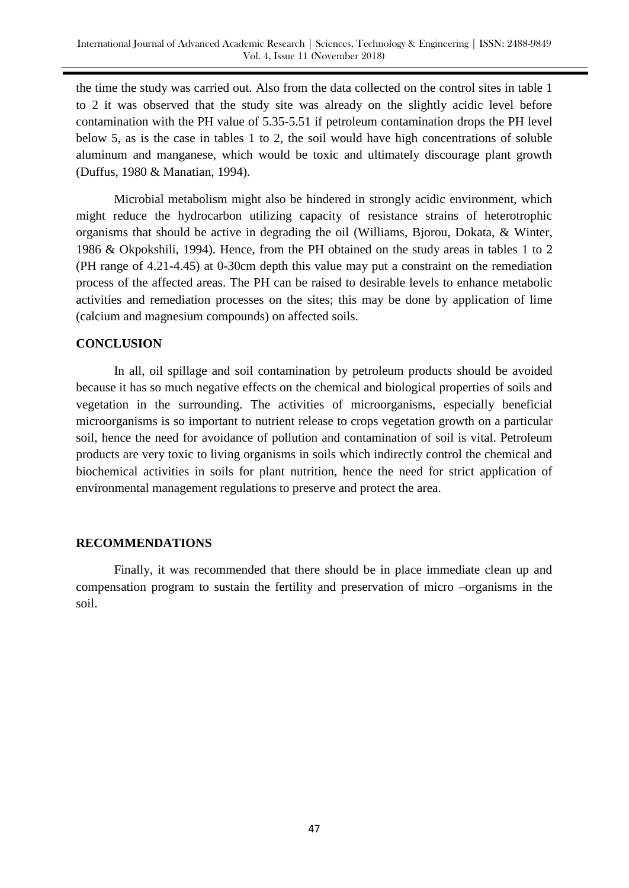the time the study was carried out. Also from the data collected on the control sites in table 1 to 2 it was observed that the study site was already on the slightly acidic level before contamination with the PH value of 5.35-5.51 if petroleum contamination drops the PH level below 5, as is the case in tables 1 to 2, the soil would have high concentrations of soluble aluminum and manganese, which would be toxic and ultimately discourage plant growth (Duffus, 1980 & Manatian, 1994).

Microbial metabolism might also be hindered in strongly acidic environment, which might reduce the hydrocarbon utilizing capacity of resistance strains of heterotrophic organisms that should be active in degrading the oil (Williams, Bjorou, Dokata, & Winter, 1986 & Okpokshili, 1994). Hence, from the PH obtained on the study areas in tables 1 to 2 (PH range of 4.21-4.45) at 0-30cm depth this value may put a constraint on the remediation process of the affected areas. The PH can be raised to desirable levels to enhance metabolic activities and remediation processes on the sites; this may be done by application of lime (calcium and magnesium compounds) on affected soils.

#### **CONCLUSION**

In all, oil spillage and soil contamination by petroleum products should be avoided because it has so much negative effects on the chemical and biological properties of soils and vegetation in the surrounding. The activities of microorganisms, especially beneficial microorganisms is so important to nutrient release to crops vegetation growth on a particular soil, hence the need for avoidance of pollution and contamination of soil is vital. Petroleum products are very toxic to living organisms in soils which indirectly control the chemical and biochemical activities in soils for plant nutrition, hence the need for strict application of environmental management regulations to preserve and protect the area.

#### **RECOMMENDATIONS**

Finally, it was recommended that there should be in place immediate clean up and compensation program to sustain the fertility and preservation of micro –organisms in the soil.